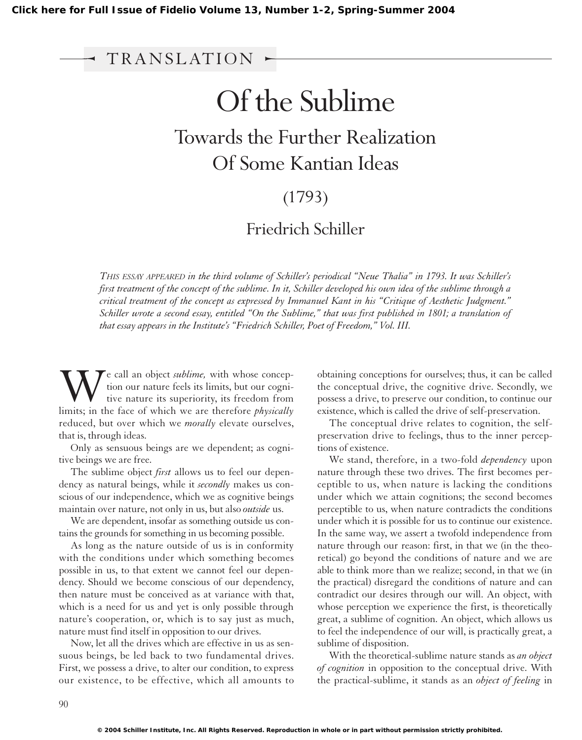## Of the Sublime

# Towards the Further Realization Of Some Kantian Ideas I Issue of Fidelio Volume 1:<br>
TRANSLATION<br>
Of<br>
Towards t<br>
Of So

### (1793)

#### Friedrich Schiller

*THIS ESSAY APPEARED in the third volume of Schiller's periodical "Neue Thalia" in 1793. It was Schiller's first treatment of the concept of the sublime. In it, Schiller developed his own idea of the sublime through a critical treatment of the concept as expressed by Immanuel Kant in his "Critique of Aesthetic Judgment." Schiller wrote a second essay, entitled "On the Sublime," that was first published in 1801; a translation of that essay appears in the Institute's "Friedrich Schiller, Poet of Freedom," Vol. III.*

We call an object *sublime*, with whose conception our nature feels its limits, but our cognitive nature its superiority, its freedom from limits; in the face of which we are therefore *physically* tion our nature feels its limits, but our cognitive nature its superiority, its freedom from limits; in the face of which we are therefore *physically* reduced, but over which we *morally* elevate ourselves, that is, through ideas.

Only as sensuous beings are we dependent; as cognitive beings we are free.

The sublime object *first* allows us to feel our dependency as natural beings, while it *secondly* makes us conscious of our independence, which we as cognitive beings maintain over nature, not only in us, but also *outside* us.

We are dependent, insofar as something outside us contains the grounds for something in us becoming possible.

As long as the nature outside of us is in conformity with the conditions under which something becomes possible in us, to that extent we cannot feel our dependency. Should we become conscious of our dependency, then nature must be conceived as at variance with that, which is a need for us and yet is only possible through nature's cooperation, or, which is to say just as much, nature must find itself in opposition to our drives.

Now, let all the drives which are effective in us as sensuous beings, be led back to two fundamental drives. First, we possess a drive, to alter our condition, to express our existence, to be effective, which all amounts to obtaining conceptions for ourselves; thus, it can be called the conceptual drive, the cognitive drive. Secondly, we possess a drive, to preserve our condition, to continue our existence, which is called the drive of self-preservation.

The conceptual drive relates to cognition, the selfpreservation drive to feelings, thus to the inner perceptions of existence.

We stand, therefore, in a two-fold *dependency* upon nature through these two drives. The first becomes perceptible to us, when nature is lacking the conditions under which we attain cognitions; the second becomes perceptible to us, when nature contradicts the conditions under which it is possible for us to continue our existence. In the same way, we assert a twofold independence from nature through our reason: first, in that we (in the theoretical) go beyond the conditions of nature and we are able to think more than we realize; second, in that we (in the practical) disregard the conditions of nature and can contradict our desires through our will. An object, with whose perception we experience the first, is theoretically great, a sublime of cognition. An object, which allows us to feel the independence of our will, is practically great, a sublime of disposition.

With the theoretical-sublime nature stands as *an object of cognition* in opposition to the conceptual drive. With the practical-sublime, it stands as an *object of feeling* in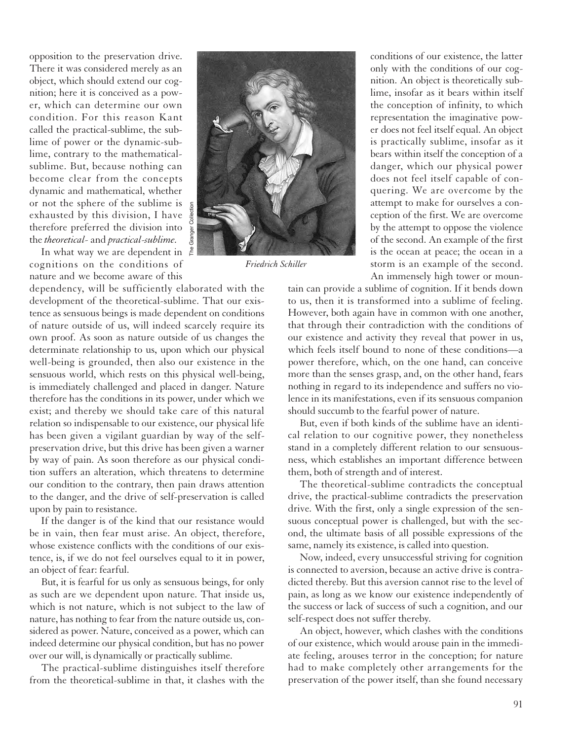opposition to the preservation drive. There it was considered merely as an object, which should extend our cognition; here it is conceived as a power, which can determine our own condition. For this reason Kant called the practical-sublime, the sublime of power or the dynamic-sublime, contrary to the mathematicalsublime. But, because nothing can become clear from the concepts dynamic and mathematical, whether or not the sphere of the sublime is exhausted by this division, I have  $\frac{9}{8}$ therefore preferred the division into  $\frac{8}{9}$ the *theoretical-* and *practical-sublime.*

In what way we are dependent in  $\frac{2}{5}$ cognitions on the conditions of nature and we become aware of this

dependency, will be sufficiently elaborated with the development of the theoretical-sublime. That our existence as sensuous beings is made dependent on conditions of nature outside of us, will indeed scarcely require its own proof. As soon as nature outside of us changes the determinate relationship to us, upon which our physical well-being is grounded, then also our existence in the sensuous world, which rests on this physical well-being, is immediately challenged and placed in danger. Nature therefore has the conditions in its power, under which we exist; and thereby we should take care of this natural relation so indispensable to our existence, our physical life has been given a vigilant guardian by way of the selfpreservation drive, but this drive has been given a warner by way of pain. As soon therefore as our physical condition suffers an alteration, which threatens to determine our condition to the contrary, then pain draws attention to the danger, and the drive of self-preservation is called upon by pain to resistance.

If the danger is of the kind that our resistance would be in vain, then fear must arise. An object, therefore, whose existence conflicts with the conditions of our existence, is, if we do not feel ourselves equal to it in power, an object of fear: fearful.

But, it is fearful for us only as sensuous beings, for only as such are we dependent upon nature. That inside us, which is not nature, which is not subject to the law of nature, has nothing to fear from the nature outside us, considered as power. Nature, conceived as a power, which can indeed determine our physical condition, but has no power over our will, is dynamically or practically sublime.

The practical-sublime distinguishes itself therefore from the theoretical-sublime in that, it clashes with the



*Friedrich Schiller*

conditions of our existence, the latter only with the conditions of our cognition. An object is theoretically sublime, insofar as it bears within itself the conception of infinity, to which representation the imaginative power does not feel itself equal. An object is practically sublime, insofar as it bears within itself the conception of a danger, which our physical power does not feel itself capable of conquering. We are overcome by the attempt to make for ourselves a conception of the first. We are overcome by the attempt to oppose the violence of the second. An example of the first is the ocean at peace; the ocean in a storm is an example of the second. An immensely high tower or moun-

tain can provide a sublime of cognition. If it bends down to us, then it is transformed into a sublime of feeling. However, both again have in common with one another, that through their contradiction with the conditions of our existence and activity they reveal that power in us, which feels itself bound to none of these conditions—a power therefore, which, on the one hand, can conceive more than the senses grasp, and, on the other hand, fears nothing in regard to its independence and suffers no violence in its manifestations, even if its sensuous companion should succumb to the fearful power of nature.

But, even if both kinds of the sublime have an identical relation to our cognitive power, they nonetheless stand in a completely different relation to our sensuousness, which establishes an important difference between them, both of strength and of interest.

The theoretical-sublime contradicts the conceptual drive, the practical-sublime contradicts the preservation drive. With the first, only a single expression of the sensuous conceptual power is challenged, but with the second, the ultimate basis of all possible expressions of the same, namely its existence, is called into question.

Now, indeed, every unsuccessful striving for cognition is connected to aversion, because an active drive is contradicted thereby. But this aversion cannot rise to the level of pain, as long as we know our existence independently of the success or lack of success of such a cognition, and our self-respect does not suffer thereby.

An object, however, which clashes with the conditions of our existence, which would arouse pain in the immediate feeling, arouses terror in the conception; for nature had to make completely other arrangements for the preservation of the power itself, than she found necessary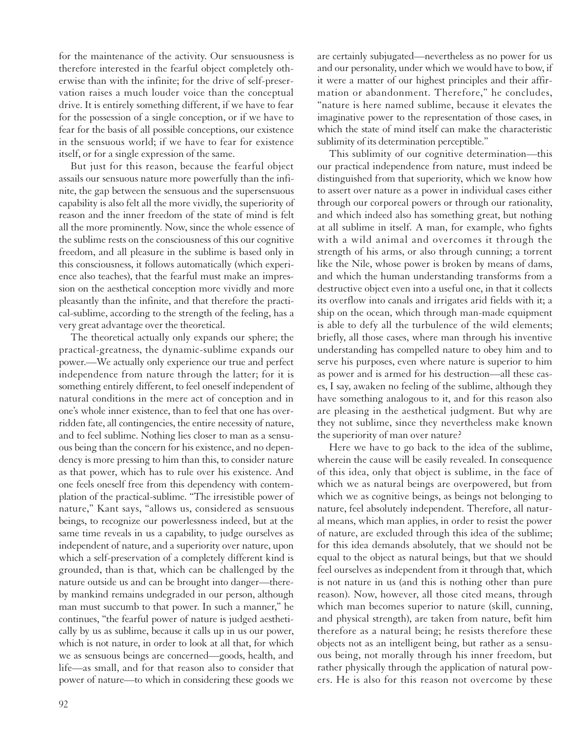for the maintenance of the activity. Our sensuousness is therefore interested in the fearful object completely otherwise than with the infinite; for the drive of self-preservation raises a much louder voice than the conceptual drive. It is entirely something different, if we have to fear for the possession of a single conception, or if we have to fear for the basis of all possible conceptions, our existence in the sensuous world; if we have to fear for existence itself, or for a single expression of the same.

But just for this reason, because the fearful object assails our sensuous nature more powerfully than the infinite, the gap between the sensuous and the supersensuous capability is also felt all the more vividly, the superiority of reason and the inner freedom of the state of mind is felt all the more prominently. Now, since the whole essence of the sublime rests on the consciousness of this our cognitive freedom, and all pleasure in the sublime is based only in this consciousness, it follows automatically (which experience also teaches), that the fearful must make an impression on the aesthetical conception more vividly and more pleasantly than the infinite, and that therefore the practical-sublime, according to the strength of the feeling, has a very great advantage over the theoretical.

The theoretical actually only expands our sphere; the practical-greatness, the dynamic-sublime expands our power.—We actually only experience our true and perfect independence from nature through the latter; for it is something entirely different, to feel oneself independent of natural conditions in the mere act of conception and in one's whole inner existence, than to feel that one has overridden fate, all contingencies, the entire necessity of nature, and to feel sublime. Nothing lies closer to man as a sensuous being than the concern for his existence, and no dependency is more pressing to him than this, to consider nature as that power, which has to rule over his existence. And one feels oneself free from this dependency with contemplation of the practical-sublime. "The irresistible power of nature," Kant says, "allows us, considered as sensuous beings, to recognize our powerlessness indeed, but at the same time reveals in us a capability, to judge ourselves as independent of nature, and a superiority over nature, upon which a self-preservation of a completely different kind is grounded, than is that, which can be challenged by the nature outside us and can be brought into danger—thereby mankind remains undegraded in our person, although man must succumb to that power. In such a manner," he continues, "the fearful power of nature is judged aesthetically by us as sublime, because it calls up in us our power, which is not nature, in order to look at all that, for which we as sensuous beings are concerned—goods, health, and life—as small, and for that reason also to consider that power of nature—to which in considering these goods we

are certainly subjugated—nevertheless as no power for us and our personality, under which we would have to bow, if it were a matter of our highest principles and their affirmation or abandonment. Therefore," he concludes, "nature is here named sublime, because it elevates the imaginative power to the representation of those cases, in which the state of mind itself can make the characteristic sublimity of its determination perceptible."

This sublimity of our cognitive determination—this our practical independence from nature, must indeed be distinguished from that superiority, which we know how to assert over nature as a power in individual cases either through our corporeal powers or through our rationality, and which indeed also has something great, but nothing at all sublime in itself. A man, for example, who fights with a wild animal and overcomes it through the strength of his arms, or also through cunning; a torrent like the Nile, whose power is broken by means of dams, and which the human understanding transforms from a destructive object even into a useful one, in that it collects its overflow into canals and irrigates arid fields with it; a ship on the ocean, which through man-made equipment is able to defy all the turbulence of the wild elements; briefly, all those cases, where man through his inventive understanding has compelled nature to obey him and to serve his purposes, even where nature is superior to him as power and is armed for his destruction—all these cases, I say, awaken no feeling of the sublime, although they have something analogous to it, and for this reason also are pleasing in the aesthetical judgment. But why are they not sublime, since they nevertheless make known the superiority of man over nature?

Here we have to go back to the idea of the sublime, wherein the cause will be easily revealed. In consequence of this idea, only that object is sublime, in the face of which we as natural beings are overpowered, but from which we as cognitive beings, as beings not belonging to nature, feel absolutely independent. Therefore, all natural means, which man applies, in order to resist the power of nature, are excluded through this idea of the sublime; for this idea demands absolutely, that we should not be equal to the object as natural beings, but that we should feel ourselves as independent from it through that, which is not nature in us (and this is nothing other than pure reason). Now, however, all those cited means, through which man becomes superior to nature (skill, cunning, and physical strength), are taken from nature, befit him therefore as a natural being; he resists therefore these objects not as an intelligent being, but rather as a sensuous being, not morally through his inner freedom, but rather physically through the application of natural powers. He is also for this reason not overcome by these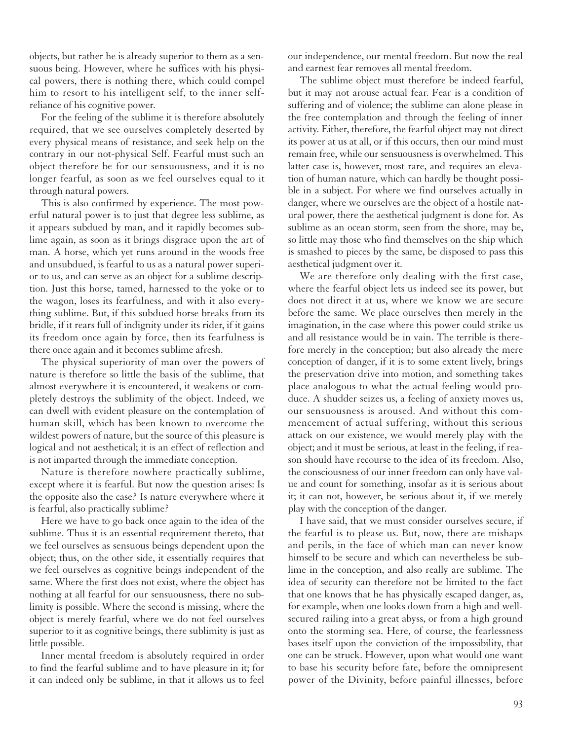objects, but rather he is already superior to them as a sensuous being. However, where he suffices with his physical powers, there is nothing there, which could compel him to resort to his intelligent self, to the inner selfreliance of his cognitive power.

For the feeling of the sublime it is therefore absolutely required, that we see ourselves completely deserted by every physical means of resistance, and seek help on the contrary in our not-physical Self. Fearful must such an object therefore be for our sensuousness, and it is no longer fearful, as soon as we feel ourselves equal to it through natural powers.

This is also confirmed by experience. The most powerful natural power is to just that degree less sublime, as it appears subdued by man, and it rapidly becomes sublime again, as soon as it brings disgrace upon the art of man. A horse, which yet runs around in the woods free and unsubdued, is fearful to us as a natural power superior to us, and can serve as an object for a sublime description. Just this horse, tamed, harnessed to the yoke or to the wagon, loses its fearfulness, and with it also everything sublime. But, if this subdued horse breaks from its bridle, if it rears full of indignity under its rider, if it gains its freedom once again by force, then its fearfulness is there once again and it becomes sublime afresh.

The physical superiority of man over the powers of nature is therefore so little the basis of the sublime, that almost everywhere it is encountered, it weakens or completely destroys the sublimity of the object. Indeed, we can dwell with evident pleasure on the contemplation of human skill, which has been known to overcome the wildest powers of nature, but the source of this pleasure is logical and not aesthetical; it is an effect of reflection and is not imparted through the immediate conception.

Nature is therefore nowhere practically sublime, except where it is fearful. But now the question arises: Is the opposite also the case? Is nature everywhere where it is fearful, also practically sublime?

Here we have to go back once again to the idea of the sublime. Thus it is an essential requirement thereto, that we feel ourselves as sensuous beings dependent upon the object; thus, on the other side, it essentially requires that we feel ourselves as cognitive beings independent of the same. Where the first does not exist, where the object has nothing at all fearful for our sensuousness, there no sublimity is possible. Where the second is missing, where the object is merely fearful, where we do not feel ourselves superior to it as cognitive beings, there sublimity is just as little possible.

Inner mental freedom is absolutely required in order to find the fearful sublime and to have pleasure in it; for it can indeed only be sublime, in that it allows us to feel our independence, our mental freedom. But now the real and earnest fear removes all mental freedom.

The sublime object must therefore be indeed fearful, but it may not arouse actual fear. Fear is a condition of suffering and of violence; the sublime can alone please in the free contemplation and through the feeling of inner activity. Either, therefore, the fearful object may not direct its power at us at all, or if this occurs, then our mind must remain free, while our sensuousness is overwhelmed. This latter case is, however, most rare, and requires an elevation of human nature, which can hardly be thought possible in a subject. For where we find ourselves actually in danger, where we ourselves are the object of a hostile natural power, there the aesthetical judgment is done for. As sublime as an ocean storm, seen from the shore, may be, so little may those who find themselves on the ship which is smashed to pieces by the same, be disposed to pass this aesthetical judgment over it.

We are therefore only dealing with the first case, where the fearful object lets us indeed see its power, but does not direct it at us, where we know we are secure before the same. We place ourselves then merely in the imagination, in the case where this power could strike us and all resistance would be in vain. The terrible is therefore merely in the conception; but also already the mere conception of danger, if it is to some extent lively, brings the preservation drive into motion, and something takes place analogous to what the actual feeling would produce. A shudder seizes us, a feeling of anxiety moves us, our sensuousness is aroused. And without this commencement of actual suffering, without this serious attack on our existence, we would merely play with the object; and it must be serious, at least in the feeling, if reason should have recourse to the idea of its freedom. Also, the consciousness of our inner freedom can only have value and count for something, insofar as it is serious about it; it can not, however, be serious about it, if we merely play with the conception of the danger.

I have said, that we must consider ourselves secure, if the fearful is to please us. But, now, there are mishaps and perils, in the face of which man can never know himself to be secure and which can nevertheless be sublime in the conception, and also really are sublime. The idea of security can therefore not be limited to the fact that one knows that he has physically escaped danger, as, for example, when one looks down from a high and wellsecured railing into a great abyss, or from a high ground onto the storming sea. Here, of course, the fearlessness bases itself upon the conviction of the impossibility, that one can be struck. However, upon what would one want to base his security before fate, before the omnipresent power of the Divinity, before painful illnesses, before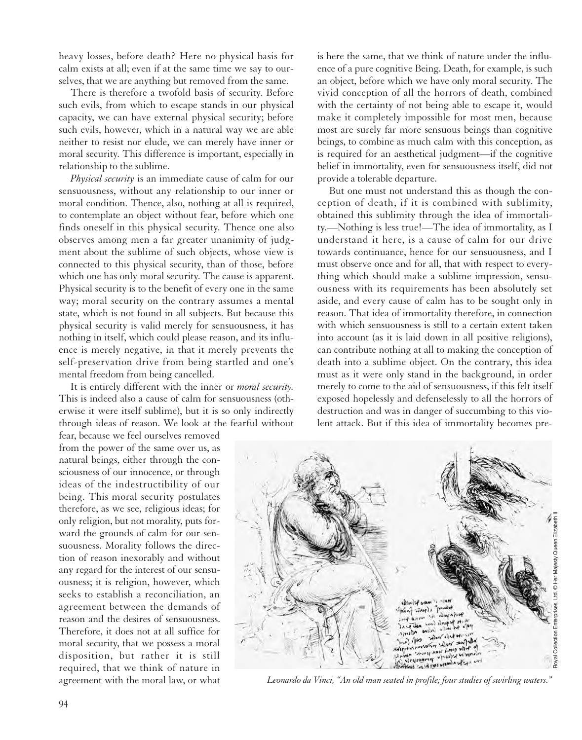heavy losses, before death? Here no physical basis for calm exists at all; even if at the same time we say to ourselves, that we are anything but removed from the same.

There is therefore a twofold basis of security. Before such evils, from which to escape stands in our physical capacity, we can have external physical security; before such evils, however, which in a natural way we are able neither to resist nor elude, we can merely have inner or moral security. This difference is important, especially in relationship to the sublime.

*Physical security* is an immediate cause of calm for our sensuousness, without any relationship to our inner or moral condition. Thence, also, nothing at all is required, to contemplate an object without fear, before which one finds oneself in this physical security. Thence one also observes among men a far greater unanimity of judgment about the sublime of such objects, whose view is connected to this physical security, than of those, before which one has only moral security. The cause is apparent. Physical security is to the benefit of every one in the same way; moral security on the contrary assumes a mental state, which is not found in all subjects. But because this physical security is valid merely for sensuousness, it has nothing in itself, which could please reason, and its influence is merely negative, in that it merely prevents the self-preservation drive from being startled and one's mental freedom from being cancelled.

It is entirely different with the inner or *moral security.* This is indeed also a cause of calm for sensuousness (otherwise it were itself sublime), but it is so only indirectly through ideas of reason. We look at the fearful without

fear, because we feel ourselves removed from the power of the same over us, as natural beings, either through the consciousness of our innocence, or through ideas of the indestructibility of our being. This moral security postulates therefore, as we see, religious ideas; for only religion, but not morality, puts forward the grounds of calm for our sensuousness. Morality follows the direction of reason inexorably and without any regard for the interest of our sensuousness; it is religion, however, which seeks to establish a reconciliation, an agreement between the demands of reason and the desires of sensuousness. Therefore, it does not at all suffice for moral security, that we possess a moral disposition, but rather it is still required, that we think of nature in agreement with the moral law, or what

is here the same, that we think of nature under the influence of a pure cognitive Being. Death, for example, is such an object, before which we have only moral security. The vivid conception of all the horrors of death, combined with the certainty of not being able to escape it, would make it completely impossible for most men, because most are surely far more sensuous beings than cognitive beings, to combine as much calm with this conception, as is required for an aesthetical judgment—if the cognitive belief in immortality, even for sensuousness itself, did not provide a tolerable departure.

But one must not understand this as though the conception of death, if it is combined with sublimity, obtained this sublimity through the idea of immortality.—Nothing is less true!—The idea of immortality, as I understand it here, is a cause of calm for our drive towards continuance, hence for our sensuousness, and I must observe once and for all, that with respect to everything which should make a sublime impression, sensuousness with its requirements has been absolutely set aside, and every cause of calm has to be sought only in reason. That idea of immortality therefore, in connection with which sensuousness is still to a certain extent taken into account (as it is laid down in all positive religions), can contribute nothing at all to making the conception of death into a sublime object. On the contrary, this idea must as it were only stand in the background, in order merely to come to the aid of sensuousness, if this felt itself exposed hopelessly and defenselessly to all the horrors of destruction and was in danger of succumbing to this violent attack. But if this idea of immortality becomes pre-



*Leonardo da Vinci, "An old man seated in profile; four studies of swirling waters."*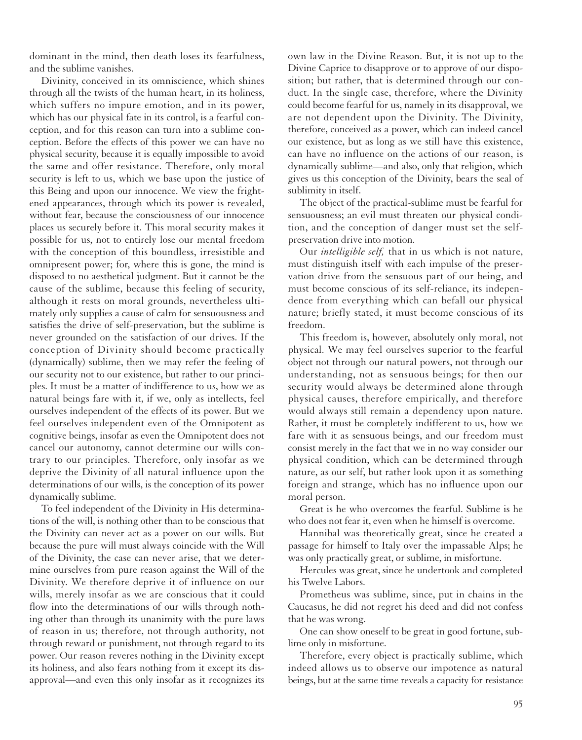dominant in the mind, then death loses its fearfulness, and the sublime vanishes.

Divinity, conceived in its omniscience, which shines through all the twists of the human heart, in its holiness, which suffers no impure emotion, and in its power, which has our physical fate in its control, is a fearful conception, and for this reason can turn into a sublime conception. Before the effects of this power we can have no physical security, because it is equally impossible to avoid the same and offer resistance. Therefore, only moral security is left to us, which we base upon the justice of this Being and upon our innocence. We view the frightened appearances, through which its power is revealed, without fear, because the consciousness of our innocence places us securely before it. This moral security makes it possible for us, not to entirely lose our mental freedom with the conception of this boundless, irresistible and omnipresent power; for, where this is gone, the mind is disposed to no aesthetical judgment. But it cannot be the cause of the sublime, because this feeling of security, although it rests on moral grounds, nevertheless ultimately only supplies a cause of calm for sensuousness and satisfies the drive of self-preservation, but the sublime is never grounded on the satisfaction of our drives. If the conception of Divinity should become practically (dynamically) sublime, then we may refer the feeling of our security not to our existence, but rather to our principles. It must be a matter of indifference to us, how we as natural beings fare with it, if we, only as intellects, feel ourselves independent of the effects of its power. But we feel ourselves independent even of the Omnipotent as cognitive beings, insofar as even the Omnipotent does not cancel our autonomy, cannot determine our wills contrary to our principles. Therefore, only insofar as we deprive the Divinity of all natural influence upon the determinations of our wills, is the conception of its power dynamically sublime.

To feel independent of the Divinity in His determinations of the will, is nothing other than to be conscious that the Divinity can never act as a power on our wills. But because the pure will must always coincide with the Will of the Divinity, the case can never arise, that we determine ourselves from pure reason against the Will of the Divinity. We therefore deprive it of influence on our wills, merely insofar as we are conscious that it could flow into the determinations of our wills through nothing other than through its unanimity with the pure laws of reason in us; therefore, not through authority, not through reward or punishment, not through regard to its power. Our reason reveres nothing in the Divinity except its holiness, and also fears nothing from it except its disapproval—and even this only insofar as it recognizes its

own law in the Divine Reason. But, it is not up to the Divine Caprice to disapprove or to approve of our disposition; but rather, that is determined through our conduct. In the single case, therefore, where the Divinity could become fearful for us, namely in its disapproval, we are not dependent upon the Divinity. The Divinity, therefore, conceived as a power, which can indeed cancel our existence, but as long as we still have this existence, can have no influence on the actions of our reason, is dynamically sublime—and also, only that religion, which gives us this conception of the Divinity, bears the seal of sublimity in itself.

The object of the practical-sublime must be fearful for sensuousness; an evil must threaten our physical condition, and the conception of danger must set the selfpreservation drive into motion.

Our *intelligible self,* that in us which is not nature, must distinguish itself with each impulse of the preservation drive from the sensuous part of our being, and must become conscious of its self-reliance, its independence from everything which can befall our physical nature; briefly stated, it must become conscious of its freedom.

This freedom is, however, absolutely only moral, not physical. We may feel ourselves superior to the fearful object not through our natural powers, not through our understanding, not as sensuous beings; for then our security would always be determined alone through physical causes, therefore empirically, and therefore would always still remain a dependency upon nature. Rather, it must be completely indifferent to us, how we fare with it as sensuous beings, and our freedom must consist merely in the fact that we in no way consider our physical condition, which can be determined through nature, as our self, but rather look upon it as something foreign and strange, which has no influence upon our moral person.

Great is he who overcomes the fearful. Sublime is he who does not fear it, even when he himself is overcome.

Hannibal was theoretically great, since he created a passage for himself to Italy over the impassable Alps; he was only practically great, or sublime, in misfortune.

Hercules was great, since he undertook and completed his Twelve Labors.

Prometheus was sublime, since, put in chains in the Caucasus, he did not regret his deed and did not confess that he was wrong.

One can show oneself to be great in good fortune, sublime only in misfortune.

Therefore, every object is practically sublime, which indeed allows us to observe our impotence as natural beings, but at the same time reveals a capacity for resistance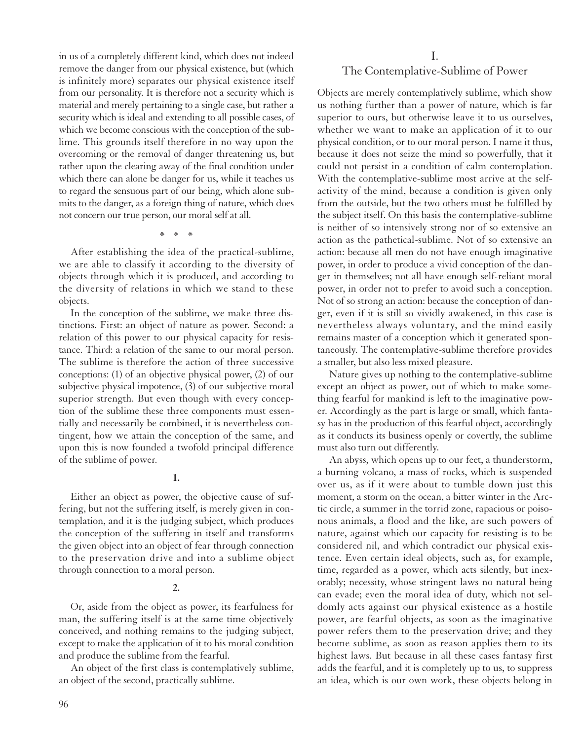in us of a completely different kind, which does not indeed remove the danger from our physical existence, but (which is infinitely more) separates our physical existence itself from our personality. It is therefore not a security which is material and merely pertaining to a single case, but rather a security which is ideal and extending to all possible cases, of which we become conscious with the conception of the sublime. This grounds itself therefore in no way upon the overcoming or the removal of danger threatening us, but rather upon the clearing away of the final condition under which there can alone be danger for us, while it teaches us to regard the sensuous part of our being, which alone submits to the danger, as a foreign thing of nature, which does not concern our true person, our moral self at all.

\*\*\*

After establishing the idea of the practical-sublime, we are able to classify it according to the diversity of objects through which it is produced, and according to the diversity of relations in which we stand to these objects.

In the conception of the sublime, we make three distinctions. First: an object of nature as power. Second: a relation of this power to our physical capacity for resistance. Third: a relation of the same to our moral person. The sublime is therefore the action of three successive conceptions: (1) of an objective physical power, (2) of our subjective physical impotence, (3) of our subjective moral superior strength. But even though with every conception of the sublime these three components must essentially and necessarily be combined, it is nevertheless contingent, how we attain the conception of the same, and upon this is now founded a twofold principal difference of the sublime of power.

**1.**

Either an object as power, the objective cause of suffering, but not the suffering itself, is merely given in contemplation, and it is the judging subject, which produces the conception of the suffering in itself and transforms the given object into an object of fear through connection to the preservation drive and into a sublime object through connection to a moral person.

**2.**

Or, aside from the object as power, its fearfulness for man, the suffering itself is at the same time objectively conceived, and nothing remains to the judging subject, except to make the application of it to his moral condition and produce the sublime from the fearful.

An object of the first class is contemplatively sublime, an object of the second, practically sublime.

#### I. The Contemplative-Sublime of Power

Objects are merely contemplatively sublime, which show us nothing further than a power of nature, which is far superior to ours, but otherwise leave it to us ourselves, whether we want to make an application of it to our physical condition, or to our moral person. I name it thus, because it does not seize the mind so powerfully, that it could not persist in a condition of calm contemplation. With the contemplative-sublime most arrive at the selfactivity of the mind, because a condition is given only from the outside, but the two others must be fulfilled by the subject itself. On this basis the contemplative-sublime is neither of so intensively strong nor of so extensive an action as the pathetical-sublime. Not of so extensive an action: because all men do not have enough imaginative power, in order to produce a vivid conception of the danger in themselves; not all have enough self-reliant moral power, in order not to prefer to avoid such a conception. Not of so strong an action: because the conception of danger, even if it is still so vividly awakened, in this case is nevertheless always voluntary, and the mind easily remains master of a conception which it generated spontaneously. The contemplative-sublime therefore provides a smaller, but also less mixed pleasure.

Nature gives up nothing to the contemplative-sublime except an object as power, out of which to make something fearful for mankind is left to the imaginative power. Accordingly as the part is large or small, which fantasy has in the production of this fearful object, accordingly as it conducts its business openly or covertly, the sublime must also turn out differently.

An abyss, which opens up to our feet, a thunderstorm, a burning volcano, a mass of rocks, which is suspended over us, as if it were about to tumble down just this moment, a storm on the ocean, a bitter winter in the Arctic circle, a summer in the torrid zone, rapacious or poisonous animals, a flood and the like, are such powers of nature, against which our capacity for resisting is to be considered nil, and which contradict our physical existence. Even certain ideal objects, such as, for example, time, regarded as a power, which acts silently, but inexorably; necessity, whose stringent laws no natural being can evade; even the moral idea of duty, which not seldomly acts against our physical existence as a hostile power, are fearful objects, as soon as the imaginative power refers them to the preservation drive; and they become sublime, as soon as reason applies them to its highest laws. But because in all these cases fantasy first adds the fearful, and it is completely up to us, to suppress an idea, which is our own work, these objects belong in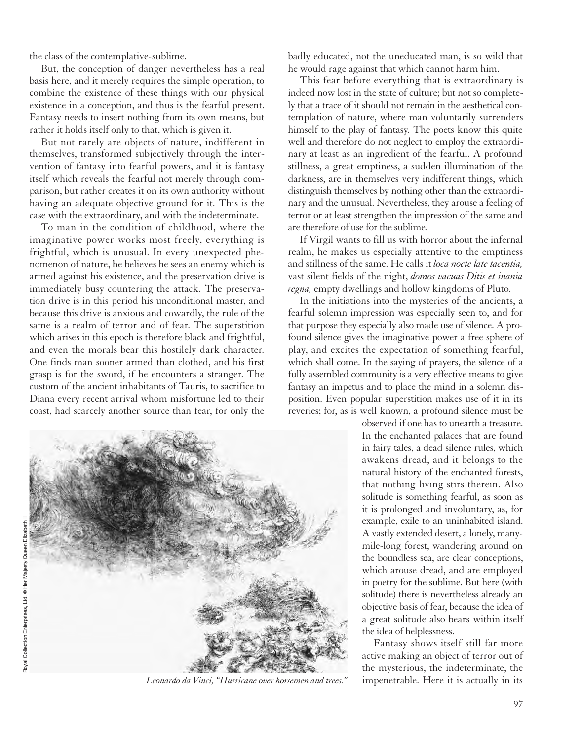the class of the contemplative-sublime.

But, the conception of danger nevertheless has a real basis here, and it merely requires the simple operation, to combine the existence of these things with our physical existence in a conception, and thus is the fearful present. Fantasy needs to insert nothing from its own means, but rather it holds itself only to that, which is given it.

But not rarely are objects of nature, indifferent in themselves, transformed subjectively through the intervention of fantasy into fearful powers, and it is fantasy itself which reveals the fearful not merely through comparison, but rather creates it on its own authority without having an adequate objective ground for it. This is the case with the extraordinary, and with the indeterminate.

To man in the condition of childhood, where the imaginative power works most freely, everything is frightful, which is unusual. In every unexpected phenomenon of nature, he believes he sees an enemy which is armed against his existence, and the preservation drive is immediately busy countering the attack. The preservation drive is in this period his unconditional master, and because this drive is anxious and cowardly, the rule of the same is a realm of terror and of fear. The superstition which arises in this epoch is therefore black and frightful, and even the morals bear this hostilely dark character. One finds man sooner armed than clothed, and his first grasp is for the sword, if he encounters a stranger. The custom of the ancient inhabitants of Tauris, to sacrifice to Diana every recent arrival whom misfortune led to their coast, had scarcely another source than fear, for only the



*Leonardo da Vinci, "Hurricane over horsemen and trees."*

badly educated, not the uneducated man, is so wild that he would rage against that which cannot harm him.

This fear before everything that is extraordinary is indeed now lost in the state of culture; but not so completely that a trace of it should not remain in the aesthetical contemplation of nature, where man voluntarily surrenders himself to the play of fantasy. The poets know this quite well and therefore do not neglect to employ the extraordinary at least as an ingredient of the fearful. A profound stillness, a great emptiness, a sudden illumination of the darkness, are in themselves very indifferent things, which distinguish themselves by nothing other than the extraordinary and the unusual. Nevertheless, they arouse a feeling of terror or at least strengthen the impression of the same and are therefore of use for the sublime.

If Virgil wants to fill us with horror about the infernal realm, he makes us especially attentive to the emptiness and stillness of the same. He calls it *loca nocte late tacentia,* vast silent fields of the night, *domos vacuas Ditis et inania regna,* empty dwellings and hollow kingdoms of Pluto.

In the initiations into the mysteries of the ancients, a fearful solemn impression was especially seen to, and for that purpose they especially also made use of silence. A profound silence gives the imaginative power a free sphere of play, and excites the expectation of something fearful, which shall come. In the saying of prayers, the silence of a fully assembled community is a very effective means to give fantasy an impetus and to place the mind in a solemn disposition. Even popular superstition makes use of it in its reveries; for, as is well known, a profound silence must be

> observed if one has to unearth a treasure. In the enchanted palaces that are found in fairy tales, a dead silence rules, which awakens dread, and it belongs to the natural history of the enchanted forests, that nothing living stirs therein. Also solitude is something fearful, as soon as it is prolonged and involuntary, as, for example, exile to an uninhabited island. A vastly extended desert, a lonely, manymile-long forest, wandering around on the boundless sea, are clear conceptions, which arouse dread, and are employed in poetry for the sublime. But here (with solitude) there is nevertheless already an objective basis of fear, because the idea of a great solitude also bears within itself the idea of helplessness.

> Fantasy shows itself still far more active making an object of terror out of the mysterious, the indeterminate, the impenetrable. Here it is actually in its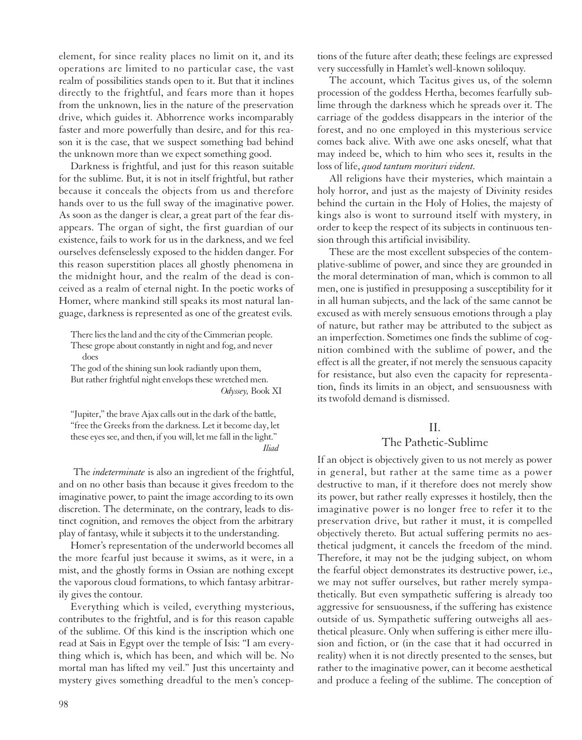element, for since reality places no limit on it, and its operations are limited to no particular case, the vast realm of possibilities stands open to it. But that it inclines directly to the frightful, and fears more than it hopes from the unknown, lies in the nature of the preservation drive, which guides it. Abhorrence works incomparably faster and more powerfully than desire, and for this reason it is the case, that we suspect something bad behind the unknown more than we expect something good.

Darkness is frightful, and just for this reason suitable for the sublime. But, it is not in itself frightful, but rather because it conceals the objects from us and therefore hands over to us the full sway of the imaginative power. As soon as the danger is clear, a great part of the fear disappears. The organ of sight, the first guardian of our existence, fails to work for us in the darkness, and we feel ourselves defenselessly exposed to the hidden danger. For this reason superstition places all ghostly phenomena in the midnight hour, and the realm of the dead is conceived as a realm of eternal night. In the poetic works of Homer, where mankind still speaks its most natural language, darkness is represented as one of the greatest evils.

There lies the land and the city of the Cimmerian people. These grope about constantly in night and fog, and never does

The god of the shining sun look radiantly upon them, But rather frightful night envelops these wretched men. *Odyssey,* Book XI

"Jupiter," the brave Ajax calls out in the dark of the battle, "free the Greeks from the darkness. Let it become day, let these eyes see, and then, if you will, let me fall in the light." *Iliad*

The *indeterminate* is also an ingredient of the frightful, and on no other basis than because it gives freedom to the imaginative power, to paint the image according to its own discretion. The determinate, on the contrary, leads to distinct cognition, and removes the object from the arbitrary play of fantasy, while it subjects it to the understanding.

Homer's representation of the underworld becomes all the more fearful just because it swims, as it were, in a mist, and the ghostly forms in Ossian are nothing except the vaporous cloud formations, to which fantasy arbitrarily gives the contour.

Everything which is veiled, everything mysterious, contributes to the frightful, and is for this reason capable of the sublime. Of this kind is the inscription which one read at Sais in Egypt over the temple of Isis: "I am everything which is, which has been, and which will be. No mortal man has lifted my veil." Just this uncertainty and mystery gives something dreadful to the men's conceptions of the future after death; these feelings are expressed very successfully in Hamlet's well-known soliloquy.

The account, which Tacitus gives us, of the solemn procession of the goddess Hertha, becomes fearfully sublime through the darkness which he spreads over it. The carriage of the goddess disappears in the interior of the forest, and no one employed in this mysterious service comes back alive. With awe one asks oneself, what that may indeed be, which to him who sees it, results in the loss of life, *quod tantum morituri vident.*

All religions have their mysteries, which maintain a holy horror, and just as the majesty of Divinity resides behind the curtain in the Holy of Holies, the majesty of kings also is wont to surround itself with mystery, in order to keep the respect of its subjects in continuous tension through this artificial invisibility.

These are the most excellent subspecies of the contemplative-sublime of power, and since they are grounded in the moral determination of man, which is common to all men, one is justified in presupposing a susceptibility for it in all human subjects, and the lack of the same cannot be excused as with merely sensuous emotions through a play of nature, but rather may be attributed to the subject as an imperfection. Sometimes one finds the sublime of cognition combined with the sublime of power, and the effect is all the greater, if not merely the sensuous capacity for resistance, but also even the capacity for representation, finds its limits in an object, and sensuousness with its twofold demand is dismissed.

#### II.

#### The Pathetic-Sublime

If an object is objectively given to us not merely as power in general, but rather at the same time as a power destructive to man, if it therefore does not merely show its power, but rather really expresses it hostilely, then the imaginative power is no longer free to refer it to the preservation drive, but rather it must, it is compelled objectively thereto. But actual suffering permits no aesthetical judgment, it cancels the freedom of the mind. Therefore, it may not be the judging subject, on whom the fearful object demonstrates its destructive power, i.e., we may not suffer ourselves, but rather merely sympathetically. But even sympathetic suffering is already too aggressive for sensuousness, if the suffering has existence outside of us. Sympathetic suffering outweighs all aesthetical pleasure. Only when suffering is either mere illusion and fiction, or (in the case that it had occurred in reality) when it is not directly presented to the senses, but rather to the imaginative power, can it become aesthetical and produce a feeling of the sublime. The conception of